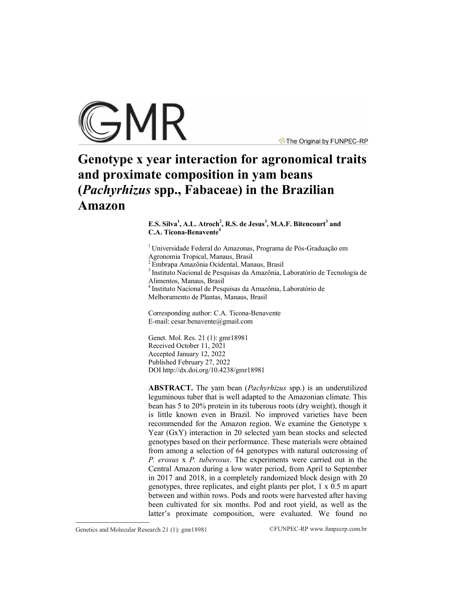

The Original by FUNPEC-RP

# **Genotype x year interaction for agronomical traits and proximate composition in yam beans (***Pachyrhizus* **spp., Fabaceae) in the Brazilian Amazon**

**E.S. Silva<sup>1</sup> , A.L. Atroch<sup>2</sup> , R.S. de Jesus<sup>3</sup> , M.A.F. Bitencourt<sup>3</sup> and C.A. Ticona-Benavente<sup>4</sup>**

<sup>1</sup> Universidade Federal do Amazonas, Programa de Pós-Graduação em Agronomia Tropical, Manaus, Brasil

2 Embrapa Amazônia Ocidental, Manaus, Brasil

<sup>3</sup> Instituto Nacional de Pesquisas da Amazônia, Laboratório de Tecnologia de Alimentos, Manaus, Brasil

4 Instituto Nacional de Pesquisas da Amazônia, Laboratório de Melhoramento de Plantas, Manaus, Brasil

Corresponding author: C.A. Ticona-Benavente

E-mail: [cesar.benavente@gmail.com](mailto:cesar.benavente@gmail.com)

Genet. Mol. Res. 21 (1): gmr18981 Received October 11, 2021 Accepted January 12, 2022 Published February 27, 2022 DO[I http://dx.doi.org/10.4238/gmr189](http://dx.doi.org/10.4238/gmr185)81

**ABSTRACT.** The yam bean (*Pachyrhizus* spp.) is an underutilized leguminous tuber that is well adapted to the Amazonian climate. This bean has 5 to 20% protein in its tuberous roots (dry weight), though it is little known even in Brazil. No improved varieties have been recommended for the Amazon region. We examine the Genotype x Year (GxY) interaction in 20 selected yam bean stocks and selected genotypes based on their performance. These materials were obtained from among a selection of 64 genotypes with natural outcrossing of *P. erosus* x *P. tuberosus*. The experiments were carried out in the Central Amazon during a low water period, from April to September in 2017 and 2018, in a completely randomized block design with 20 genotypes, three replicates, and eight plants per plot, 1 x 0.5 m apart between and within rows. Pods and roots were harvested after having been cultivated for six months. Pod and root yield, as well as the latter's proximate composition, were evaluated. We found no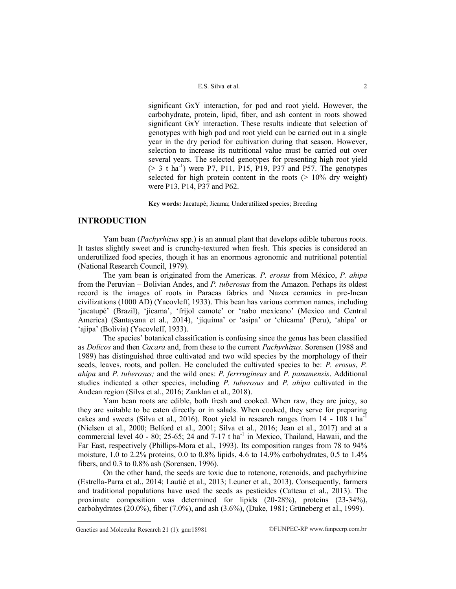significant GxY interaction, for pod and root yield. However, the carbohydrate, protein, lipid, fiber, and ash content in roots showed significant GxY interaction. These results indicate that selection of genotypes with high pod and root yield can be carried out in a single year in the dry period for cultivation during that season. However, selection to increase its nutritional value must be carried out over several years. The selected genotypes for presenting high root yield  $(> 3$  t ha<sup>-1</sup>) were P7, P11, P15, P19, P37 and P57. The genotypes selected for high protein content in the roots  $(> 10\%$  dry weight) were P13, P14, P37 and P62.

**Key words:** Jacatupé; Jicama; Underutilized species; Breeding

# **INTRODUCTION**

Yam bean (*Pachyrhizus* spp.) is an annual plant that develops edible tuberous roots. It tastes slightly sweet and is crunchy-textured when fresh. This species is considered an underutilized food species, though it has an enormous agronomic and nutritional potential (National Research Council, 1979).

The yam bean is originated from the Americas. *P. erosus* from México, *P. ahipa* from the Peruvian – Bolivian Andes, and *P. tuberosus* from the Amazon. Perhaps its oldest record is the images of roots in Paracas fabrics and Nazca ceramics in pre-Incan civilizations (1000 AD) (Yacovleff, 1933). This bean has various common names, including 'jacatupé' (Brazil), 'jícama', 'frijol camote' or 'nabo mexicano' (Mexico and Central America) (Santayana et al., 2014), 'iíquima' or 'asipa' or 'chicama' (Peru), 'ahipa' or 'ajipa' (Bolivia) (Yacovleff, 1933).

The species" botanical classification is confusing since the genus has been classified as *Dolicos* and then *Cacara* and, from these to the current *Pachyrhizus*. Sorensen (1988 and 1989) has distinguished three cultivated and two wild species by the morphology of their seeds, leaves, roots, and pollen. He concluded the cultivated species to be: *P. erosus*, *P. ahipa* and *P. tuberosus;* and the wild ones: *P. ferrrugineus* and *P. panamensis*. Additional studies indicated a other species, including *P. tuberosus* and *P. ahipa* cultivated in the Andean region (Silva et al., 2016; Zanklan et al., 2018).

Yam bean roots are edible, both fresh and cooked. When raw, they are juicy, so they are suitable to be eaten directly or in salads. When cooked, they serve for preparing cakes and sweets (Silva et al., 2016). Root yield in research ranges from  $14 - 108$  t ha<sup>-1</sup> (Nielsen et al., 2000; Belford et al., 2001; Silva et al., 2016; Jean et al., 2017) and at a commercial level  $40 - 80$ ;  $25-65$ ;  $24$  and  $7-17$  t ha<sup>-1</sup> in Mexico, Thailand, Hawaii, and the Far East, respectively (Phillips-Mora et al., 1993). Its composition ranges from 78 to 94% moisture,  $1.0$  to  $2.2\%$  proteins,  $0.0$  to  $0.8\%$  lipids,  $4.6$  to  $14.9\%$  carbohydrates,  $0.5$  to  $1.4\%$ fibers, and 0.3 to 0.8% ash (Sorensen, 1996).

On the other hand, the seeds are toxic due to rotenone, rotenoids, and pachyrhizine (Estrella-Parra et al., 2014; Lautié et al., 2013; Leuner et al., 2013). Consequently, farmers and traditional populations have used the seeds as pesticides (Catteau et al., 2013). The proximate composition was determined for lipids (20-28%), proteins (23-34%), carbohydrates (20.0%), fiber (7.0%), and ash (3.6%), (Duke, 1981; Grüneberg et al., 1999).

Genetics and Molecular Research 21 (1):  $gmr18981$  ©FUNPEC-RP www.funpecrp.com.br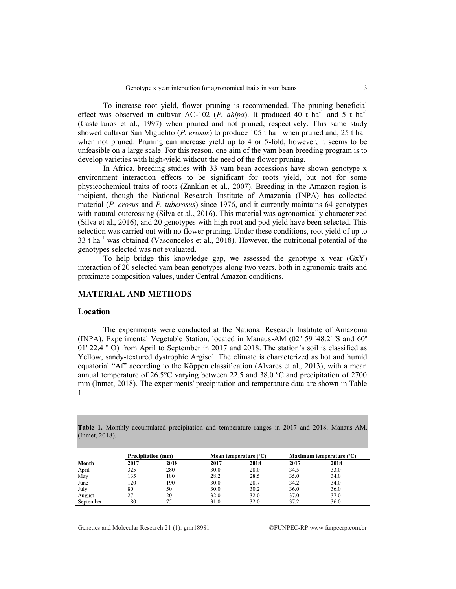To increase root yield, flower pruning is recommended. The pruning beneficial effect was observed in cultivar AC-102 (*P. ahipa*). It produced 40 t ha<sup>-1</sup> and 5 t ha<sup>-1</sup> (Castellanos et al., 1997) when pruned and not pruned, respectively. This same study showed cultivar San Miguelito (*P. erosus*) to produce 105 t ha<sup>-1</sup> when pruned and, 25 t ha<sup>-1</sup> when not pruned. Pruning can increase yield up to 4 or 5-fold, however, it seems to be unfeasible on a large scale. For this reason, one aim of the yam bean breeding program is to develop varieties with high-yield without the need of the flower pruning.

In Africa, breeding studies with 33 yam bean accessions have shown genotype x environment interaction effects to be significant for roots yield, but not for some physicochemical traits of roots (Zanklan et al., 2007). Breeding in the Amazon region is incipient, though the National Research Institute of Amazonia (INPA) has collected material (*P. erosus* and *P. tuberosus*) since 1976, and it currently maintains 64 genotypes with natural outcrossing (Silva et al., 2016). This material was agronomically characterized (Silva et al., 2016), and 20 genotypes with high root and pod yield have been selected. This selection was carried out with no flower pruning. Under these conditions, root yield of up to  $33$  t ha<sup>-1</sup> was obtained (Vasconcelos et al., 2018). However, the nutritional potential of the genotypes selected was not evaluated.

To help bridge this knowledge gap, we assessed the genotype x year  $(GXY)$ interaction of 20 selected yam bean genotypes along two years, both in agronomic traits and proximate composition values, under Central Amazon conditions.

# **MATERIAL AND METHODS**

#### **Location**

The experiments were conducted at the National Research Institute of Amazonia (INPA), Experimental Vegetable Station, located in Manaus-AM (02º 59 '48.2' 'S and 60º 01' 22.4 '' O) from April to September in 2017 and 2018. The station"s soil is classified as Yellow, sandy-textured dystrophic Argisol. The climate is characterized as hot and humid equatorial "Af" according to the Köppen classification (Alvares et al., 2013), with a mean annual temperature of 26.5°C varying between 22.5 and 38.0 ºC and precipitation of 2700 mm (Inmet, 2018). The experiments' precipitation and temperature data are shown in Table 1.

**Table 1.** Monthly accumulated precipitation and temperature ranges in 2017 and 2018. Manaus-AM. (Inmet, 2018).

|           | <b>Precipitation (mm)</b> |      |      | Mean temperature (°C) |      | Maximum temperature (°C) |
|-----------|---------------------------|------|------|-----------------------|------|--------------------------|
| Month     | 2017                      | 2018 | 2017 | 2018                  | 2017 | 2018                     |
| April     | 325                       | 280  | 30.0 | 28.0                  | 34.5 | 33.0                     |
| May       | 135                       | 180  | 28.2 | 28.5                  | 35.0 | 34.0                     |
| June      | 120                       | 190  | 30.0 | 28.7                  | 34.2 | 34.0                     |
| July      | 80                        | 50   | 30.0 | 30.2                  | 36.0 | 36.0                     |
| August    | 27                        | 20   | 32.0 | 32.0                  | 37.0 | 37.0                     |
| September | 180                       | 75   | 31.0 | 32.0                  | 37.2 | 36.0                     |

Genetics and Molecular Research 21 (1):  $gmr18981$  ©FUNPEC-RP www.funpecrp.com.br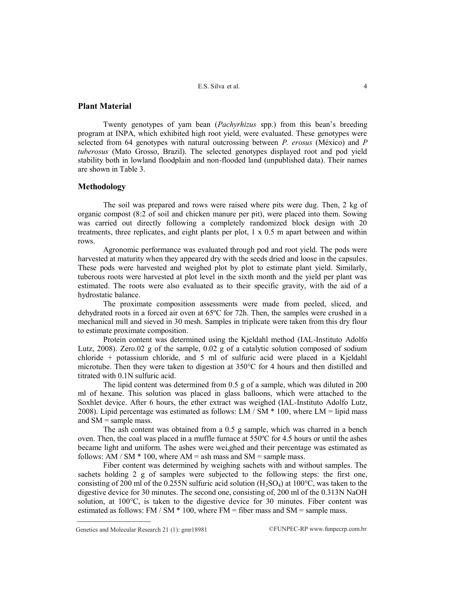# **Plant Material**

Twenty genotypes of yam bean (*Pachyrhizus* spp.) from this bean"s breeding program at INPA, which exhibited high root yield, were evaluated. These genotypes were selected from 64 genotypes with natural outcrossing between *P. erosus* (México) and *P tuberosus* (Mato Grosso, Brazil). The selected genotypes displayed root and pod yield stability both in lowland floodplain and non-flooded land (unpublished data). Their names are shown in Table 3.

# **Methodology**

The soil was prepared and rows were raised where pits were dug. Then, 2 kg of organic compost (8:2 of soil and chicken manure per pit), were placed into them. Sowing was carried out directly following a completely randomized block design with 20 treatments, three replicates, and eight plants per plot,  $1 \times 0.5$  m apart between and within rows.

Agronomic performance was evaluated through pod and root yield. The pods were harvested at maturity when they appeared dry with the seeds dried and loose in the capsules. These pods were harvested and weighed plot by plot to estimate plant yield. Similarly, tuberous roots were harvested at plot level in the sixth month and the yield per plant was estimated. The roots were also evaluated as to their specific gravity, with the aid of a hydrostatic balance.

The proximate composition assessments were made from peeled, sliced, and dehydrated roots in a forced air oven at 65ºC for 72h. Then, the samples were crushed in a mechanical mill and sieved in 30 mesh. Samples in triplicate were taken from this dry flour to estimate proximate composition.

Protein content was determined using the Kjeldahl method (IAL-Instituto Adolfo Lutz, 2008). Zero.02 g of the sample, 0.02 g of a catalytic solution composed of sodium chloride + potassium chloride, and 5 ml of sulfuric acid were placed in a Kjeldahl microtube. Then they were taken to digestion at  $350^{\circ}$ C for 4 hours and then distilled and titrated with 0.1N sulfuric acid.

The lipid content was determined from 0.5 g of a sample, which was diluted in 200 ml of hexane. This solution was placed in glass balloons, which were attached to the Soxhlet device. After 6 hours, the ether extract was weighed (IAL-Instituto Adolfo Lutz, 2008). Lipid percentage was estimated as follows: LM  $/$  SM  $*$  100, where LM = lipid mass and SM = sample mass.

The ash content was obtained from a 0.5 g sample, which was charred in a bench oven. Then, the coal was placed in a muffle furnace at 550ºC for 4.5 hours or until the ashes became light and uniform. The ashes were wei,ghed and their percentage was estimated as follows: AM / SM  $*$  100, where AM = ash mass and SM = sample mass.

Fiber content was determined by weighing sachets with and without samples. The sachets holding 2 g of samples were subjected to the following steps: the first one, consisting of 200 ml of the 0.255N sulfuric acid solution  $(H_2SO_4)$  at 100°C, was taken to the digestive device for 30 minutes. The second one, consisting of, 200 ml of the 0.313N NaOH solution, at 100°C, is taken to the digestive device for 30 minutes. Fiber content was estimated as follows: FM / SM  $*$  100, where FM = fiber mass and SM = sample mass.

Genetics and Molecular Research 21 (1):  $gmr18981$  ©FUNPEC-RP www.funpecrp.com.br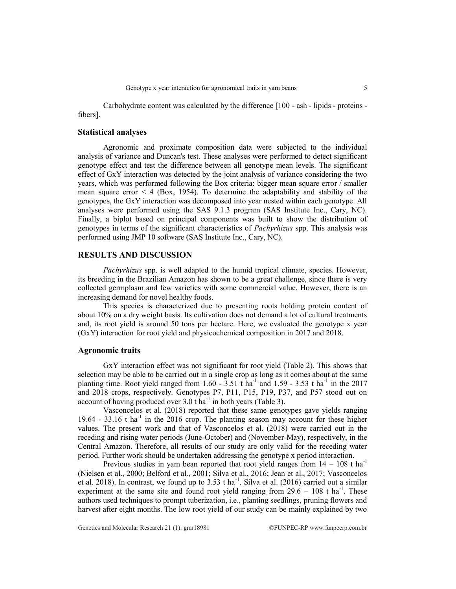Carbohydrate content was calculated by the difference [100 - ash - lipids - proteins fibers].

## **Statistical analyses**

Agronomic and proximate composition data were subjected to the individual analysis of variance and Duncan's test. These analyses were performed to detect significant genotype effect and test the difference between all genotype mean levels. The significant effect of GxY interaction was detected by the joint analysis of variance considering the two years, which was performed following the Box criteria: bigger mean square error / smaller mean square error  $\leq 4$  (Box, 1954). To determine the adaptability and stability of the genotypes, the GxY interaction was decomposed into year nested within each genotype. All analyses were performed using the SAS 9.1.3 program (SAS Institute Inc., Cary, NC). Finally, a biplot based on principal components was built to show the distribution of genotypes in terms of the significant characteristics of *Pachyrhizus* spp. This analysis was performed using JMP 10 software (SAS Institute Inc., Cary, NC).

## **RESULTS AND DISCUSSION**

*Pachyrhizus* spp. is well adapted to the humid tropical climate, species. However, its breeding in the Brazilian Amazon has shown to be a great challenge, since there is very collected germplasm and few varieties with some commercial value. However, there is an increasing demand for novel healthy foods.

This species is characterized due to presenting roots holding protein content of about 10% on a dry weight basis. Its cultivation does not demand a lot of cultural treatments and, its root yield is around 50 tons per hectare. Here, we evaluated the genotype x year (GxY) interaction for root yield and physicochemical composition in 2017 and 2018.

## **Agronomic traits**

GxY interaction effect was not significant for root yield (Table 2). This shows that selection may be able to be carried out in a single crop as long as it comes about at the same planting time. Root yield ranged from  $1.60 - 3.51$  t ha<sup>-1</sup> and  $1.59 - 3.53$  t ha<sup>-1</sup> in the 2017 and 2018 crops, respectively. Genotypes P7, P11, P15, P19, P37, and P57 stood out on account of having produced over  $3.0$  t ha<sup>-1</sup> in both years (Table 3).

Vasconcelos et al. (2018) reported that these same genotypes gave yields ranging  $19.64 - 33.16$  t ha<sup>-1</sup> in the 2016 crop. The planting season may account for these higher values. The present work and that of Vasconcelos et al. (2018) were carried out in the receding and rising water periods (June-October) and (November-May), respectively, in the Central Amazon. Therefore, all results of our study are only valid for the receding water period. Further work should be undertaken addressing the genotype x period interaction.

Previous studies in yam bean reported that root yield ranges from  $14 - 108$  t ha<sup>-1</sup> (Nielsen et al., 2000; Belford et al., 2001; Silva et al., 2016; Jean et al., 2017; Vasconcelos et al. 2018). In contrast, we found up to  $3.53$  t ha<sup>-1</sup>. Silva et al. (2016) carried out a similar experiment at the same site and found root yield ranging from  $29.6 - 108$  t ha<sup>-1</sup>. These authors used techniques to prompt tuberization, i.e., planting seedlings, pruning flowers and harvest after eight months. The low root yield of our study can be mainly explained by two

Genetics and Molecular Research 21 (1): gmr18981 ©FUNPEC-RP www.funpecrp.com.br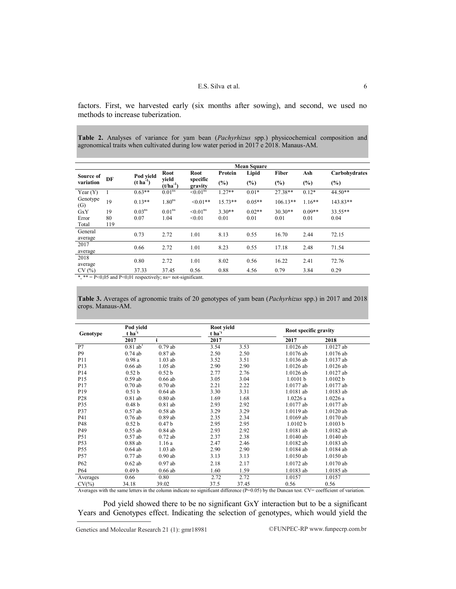factors. First, we harvested early (six months after sowing), and second, we used no methods to increase tuberization.

**Table 2.** Analyses of variance for yam bean (*Pachyrhizus* spp.) physicochemical composition and agronomical traits when cultivated during low water period in 2017 e 2018. Manaus-AM.

|                 |     | <b>Mean Square</b> |                        |                           |           |          |            |          |               |  |  |
|-----------------|-----|--------------------|------------------------|---------------------------|-----------|----------|------------|----------|---------------|--|--|
| Source of       |     | Pod yield          | <b>Root</b>            | Root                      | Protein   | Lipid    | Fiber      | Ash      | Carbohydrates |  |  |
| variation       | DF  | $(t \, ha^{-1})$   | vield<br>$(t/ha^{-1})$ | specific<br>gravity       | $(\%)$    | (%)      | (%)        | (%)      | $(\%)$        |  |  |
| Year $(Y)$      | 1   | $0.63**$           | 0.01 <sup>ns</sup>     | $\leq 0.01$ <sup>ns</sup> | $1.27**$  | $0.01*$  | 27.38**    | $0.12*$  | 44.50**       |  |  |
| Genotype<br>(G) | 19  | $0.13**$           | 1.80 <sup>ns</sup>     | $< 0.01**$                | $15.73**$ | $0.05**$ | $106.13**$ | $1.16**$ | 143.83**      |  |  |
| GxY             | 19  | $0.03^{ns}$        | 0.01 <sup>ns</sup>     | $<$ 0.01 <sup>ns</sup>    | $3.30**$  | $0.02**$ | $30.30**$  | $0.09**$ | $33.55**$     |  |  |
| Error           | 80  | 0.07               | 1.04                   | < 0.01                    | 0.01      | 0.01     | 0.01       | 0.01     | 0.04          |  |  |
| Total           | 119 |                    |                        |                           |           |          |            |          |               |  |  |
| General         |     | 0.73               | 2.72                   | 1.01                      | 8.13      | 0.55     | 16.70      | 2.44     | 72.15         |  |  |
| average         |     |                    |                        |                           |           |          |            |          |               |  |  |
| 2017            |     | 0.66               | 2.72                   | 1.01                      | 8.23      | 0.55     | 17.18      | 2.48     | 71.54         |  |  |
| average         |     |                    |                        |                           |           |          |            |          |               |  |  |
| 2018            |     | 0.80               | 2.72                   | 1.01                      | 8.02      | 0.56     | 16.22      | 2.41     | 72.76         |  |  |
| average         |     |                    |                        |                           |           |          |            |          |               |  |  |
| CV(%)           |     | 37.33              | 37.45                  | 0.56                      | 0.88      | 4.56     | 0.79       | 3.84     | 0.29          |  |  |

\*, \*\* =  $P \le 0.05$  and  $P \le 0.01$  respectively; ns= not-significant.

**Table 3.** Averages of agronomic traits of 20 genotypes of yam bean (*Pachyrhizus* spp.) in 2017 and 2018 crops. Manaus-AM.

| Genotype        | Pod yield<br>t ha <sup>1</sup> |                   | Root yield<br>$t$ ha <sup>-1</sup> |       | Root specific gravity |           |  |
|-----------------|--------------------------------|-------------------|------------------------------------|-------|-----------------------|-----------|--|
|                 | 2017                           |                   | 2017                               |       | 2017                  | 2018      |  |
| P7              | $0.81$ ab <sup>1</sup>         | 0.79ab            | 3.54                               | 3.53  | 1.0126 ab             | 1.0127 ab |  |
| P <sub>9</sub>  | $0.74$ ab                      | $0.87$ ab         | 2.50                               | 2.50  | 1.0176 ab             | 1.0176 ab |  |
| P <sub>11</sub> | 0.98a                          | $1.03$ ab         | 3.52                               | 3.51  | 1.0136 ab             | 1.0137 ab |  |
| P13             | $0.66$ ab                      | $1.05$ ab         | 2.90                               | 2.90  | 1.0126 ab             | 1.0126 ab |  |
| P <sub>14</sub> | 0.52 <sub>b</sub>              | 0.52 <sub>b</sub> | 2.77                               | 2.76  | 1.0126 ab             | 1.0127 ab |  |
| P15             | $0.59$ ab                      | $0.66$ ab         | 3.05                               | 3.04  | 1.0101 b              | 1.0102 b  |  |
| P <sub>17</sub> | 0.70ab                         | $0.70$ ab         | 2.21                               | 2.22  | 1.0177 ab             | 1.0177 ab |  |
| P19             | 0.51 <sub>b</sub>              | $0.64$ ab         | 3.30                               | 3.31  | 1.0181 ab             | 1.0183 ab |  |
| P <sub>28</sub> | $0.81$ ab                      | $0.80$ ab         | 1.69                               | 1.68  | 1.0226a               | 1.0226a   |  |
| P35             | 0.48 <sub>b</sub>              | $0.81$ ab         | 2.93                               | 2.92  | 1.0177 ab             | 1.0177 ab |  |
| P37             | $0.57$ ab                      | $0.58$ ab         | 3.29                               | 3.29  | 1.0119 ab             | 1.0120 ab |  |
| P41             | $0.76$ ab                      | $0.89$ ab         | 2.35                               | 2.34  | 1.0169 ab             | 1.0170 ab |  |
| P48             | 0.52 <sub>b</sub>              | 0.47 <sub>b</sub> | 2.95                               | 2.95  | 1.0102 b              | 1.0103 b  |  |
| P49             | $0.55$ ab                      | $0.84$ ab         | 2.93                               | 2.92  | 1.0181 ab             | 1.0182 ab |  |
| P51             | $0.57$ ab                      | $0.72$ ab         | 2.37                               | 2.38  | 1.0140 ab             | 1.0140 ab |  |
| P <sub>53</sub> | $0.88$ ab                      | 1.16a             | 2.47                               | 2.46  | 1.0182 ab             | 1.0183 ab |  |
| P <sub>55</sub> | $0.64$ ab                      | $1.03$ ab         | 2.90                               | 2.90  | 1.0184 ab             | 1.0184 ab |  |
| P <sub>57</sub> | $0.77$ ab                      | $0.90$ ab         | 3.13                               | 3.13  | 1.0150 ab             | 1.0150 ab |  |
| P <sub>62</sub> | $0.62$ ab                      | $0.97$ ab         | 2.18                               | 2.17  | 1.0172 ab             | 1.0170 ab |  |
| P <sub>64</sub> | 0.49 <sub>b</sub>              | $0.66$ ab         | 1.60                               | 1.59  | 1.0183 ab             | 1.0185 ab |  |
| Averages        | 0.66                           | 0.80              | 2.72                               | 2.72  | 1.0157                | 1.0157    |  |
| $CV(\% )$       | 34.18                          | 39.02             | 37.5                               | 37.45 | 0.56                  | 0.56      |  |

Averages with the same letters in the column indicate no significant difference (P=0.05) by the Duncan test. CV= coefficient of variation.

Pod yield showed there to be no significant GxY interaction but to be a significant Years and Genotypes effect. Indicating the selection of genotypes, which would yield the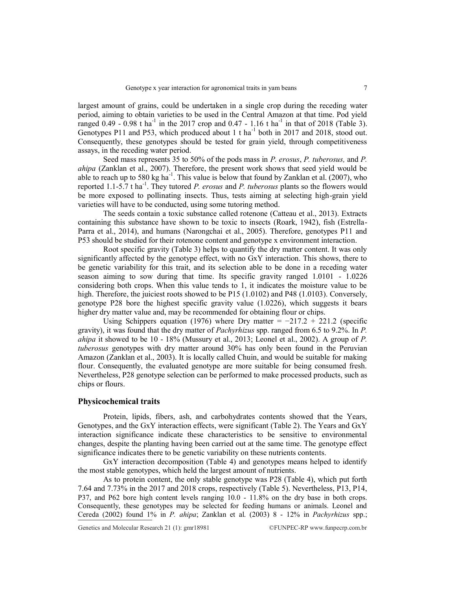largest amount of grains, could be undertaken in a single crop during the receding water period, aiming to obtain varieties to be used in the Central Amazon at that time. Pod yield ranged 0.49 - 0.98 t ha<sup>-1</sup> in the 2017 crop and 0.47 - 1.16 t ha<sup>-1</sup> in that of 2018 (Table 3). Genotypes P11 and P53, which produced about 1 t ha<sup>-1</sup> both in 2017 and 2018, stood out. Consequently, these genotypes should be tested for grain yield, through competitiveness assays, in the receding water period.

Seed mass represents 35 to 50% of the pods mass in *P. erosus*, *P. tuberosus,* and *P. ahipa* (Zanklan et al., 2007). Therefore, the present work shows that seed yield would be able to reach up to 580 kg ha<sup>-1</sup>. This value is below that found by Zanklan et al. (2007), who reported 1.1-5.7 t ha<sup>-1</sup>. They tutored *P. erosus* and *P. tuberosus* plants so the flowers would be more exposed to pollinating insects. Thus, tests aiming at selecting high-grain yield varieties will have to be conducted, using some tutoring method.

The seeds contain a toxic substance called rotenone (Catteau et al., 2013). Extracts containing this substance have shown to be toxic to insects (Roark, 1942), fish (Estrella-Parra et al., 2014), and humans (Narongchai et al., 2005). Therefore, genotypes P11 and P53 should be studied for their rotenone content and genotype x environment interaction.

Root specific gravity (Table 3) helps to quantify the dry matter content. It was only significantly affected by the genotype effect, with no GxY interaction. This shows, there to be genetic variability for this trait, and its selection able to be done in a receding water season aiming to sow during that time. Its specific gravity ranged 1.0101 - 1.0226 considering both crops. When this value tends to 1, it indicates the moisture value to be high. Therefore, the juiciest roots showed to be P15 (1.0102) and P48 (1.0103). Conversely, genotype P28 bore the highest specific gravity value (1.0226), which suggests it bears higher dry matter value and, may be recommended for obtaining flour or chips.

Using Schippers equation (1976) where Dry matter =  $-217.2 + 221.2$  (specific gravity), it was found that the dry matter of *Pachyrhizus* spp. ranged from 6.5 to 9.2%. In *P. ahipa* it showed to be 10 - 18% (Mussury et al., 2013; Leonel et al., 2002). A group of *P. tuberosus* genotypes with dry matter around 30% has only been found in the Peruvian Amazon (Zanklan et al., 2003). It is locally called Chuin, and would be suitable for making flour. Consequently, the evaluated genotype are more suitable for being consumed fresh. Nevertheless, P28 genotype selection can be performed to make processed products, such as chips or flours.

## **Physicochemical traits**

Protein, lipids, fibers, ash, and carbohydrates contents showed that the Years, Genotypes, and the GxY interaction effects, were significant (Table 2). The Years and GxY interaction significance indicate these characteristics to be sensitive to environmental changes, despite the planting having been carried out at the same time. The genotype effect significance indicates there to be genetic variability on these nutrients contents.

GxY interaction decomposition (Table 4) and genotypes means helped to identify the most stable genotypes, which held the largest amount of nutrients.

As to protein content, the only stable genotype was P28 (Table 4), which put forth 7.64 and 7.73% in the 2017 and 2018 crops, respectively (Table 5). Nevertheless, P13, P14, P37, and P62 bore high content levels ranging 10.0 - 11.8% on the dry base in both crops. Consequently, these genotypes may be selected for feeding humans or animals. Leonel and Cereda (2002) found 1% in *P. ahipa*; Zanklan et al. (2003) 8 - 12% in *Pachyrhizus* spp.;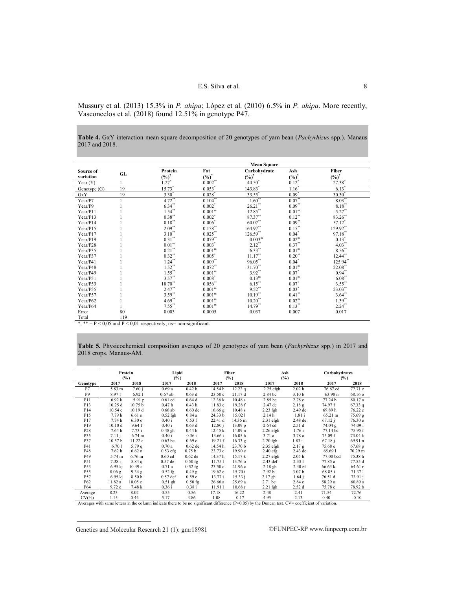Mussury et al. (2013) 15.3% in *P. ahipa*; López et al. (2010) 6.5% in *P. ahipa*. More recently, Vasconcelos et al. (2018) found 12.51% in genotype P47.

**Table 4.** GxY interaction mean square decomposition of 20 genotypes of yam bean (*Pachyrhizus* spp.). Manaus 2017 and 2018.

|              |     | <b>Mean Square</b> |                         |                      |                     |                      |  |  |  |  |
|--------------|-----|--------------------|-------------------------|----------------------|---------------------|----------------------|--|--|--|--|
| Source of    |     | Protein            | Fat                     | Carbohydrate         | Ash                 | Fiber                |  |  |  |  |
| variation    | GL  | $(\frac{9}{6})^2$  | $(\frac{6}{6})^2$       | $(\frac{6}{6})^2$    | $(\frac{6}{6})^2$   | $(\frac{6}{6})^2$    |  |  |  |  |
| Year $(Y)$   |     | 1.27               | 0.002                   | 44.50                | $0.12^*$            | 27.38                |  |  |  |  |
| Genotype (G) | 19  | 15.73              | 0.053                   | 143.83               | 1.16                | $6.13$ <sup>*</sup>  |  |  |  |  |
| GxY          | 19  | $3.30^{^{\circ}}$  | 0.028                   | $33.\overline{55}$   | $0.09$ <sup>*</sup> | $30.30$ <sup>*</sup> |  |  |  |  |
| Year/P7      |     | $4.72$ **          | $0.10\overline{4}^{**}$ | $1.60$ <sup>**</sup> | $0.07$ **           | $8.03**$             |  |  |  |  |
| Year/P9      |     | $6.34***$          | $0.002*$                | $26.21$ **           | $0.09***$           | $8.18***$            |  |  |  |  |
| Year/P11     |     | $1.54**$           | 0.001 <sup>ns</sup>     | $12.85$ **           | 0.01 <sup>ns</sup>  | $5.27**$             |  |  |  |  |
| Year/P13     |     | $0.38**$           | $0.002*$                | $87.37***$           | $0.12***$           | 83.26**              |  |  |  |  |
| Year/P14     |     | $0.18***$          | $0.006*$                | $60.07**$            | $0.09***$           | 57.12*               |  |  |  |  |
| Year/P15     |     | $2.09**$           | $0.158**$               | 164.97**             | $0.15***$           | 129.92**             |  |  |  |  |
| Year/P17     |     | $3.10**$           | $0.025$ **              | $126.59**$           | $0.04^*$            | $97.18^{\ast\ast}$   |  |  |  |  |
| Year/P19     |     | $0.31***$          | $0.079**$               | $0.003^{ns}$         | 0.02 <sup>ns</sup>  | $0.13*$              |  |  |  |  |
| Year/P28     |     | 0.01 <sup>ns</sup> | $0.003*$                | $2.12**$             | $0.37**$            | $4.03**$             |  |  |  |  |
| Year/P35     |     | $0.21***$          | 0.001 <sup>ns</sup>     | $6.33***$            | 0.01 <sup>ns</sup>  | $8.56**$             |  |  |  |  |
| Year/P37     |     | $0.32***$          | $0.005^*$               | $11.17$ **           | $0.20\sp{*}$        | $12.44**$            |  |  |  |  |
| Year/P41     |     | $1.24***$          | $0.009**$               | $96.05^{\ast\ast}$   | $0.04*$             | 125.94**             |  |  |  |  |
| Year/P48     |     | $1.52**$           | $0.072**$               | 31.70**              | 0.01 <sup>ns</sup>  | 22.08**              |  |  |  |  |
| Year/P49     |     | $1.55***$          | 0.001 <sup>ns</sup>     | $3.92**$             | $0.07*$             | $0.94**$             |  |  |  |  |
| Year/P51     |     | $3.57***$          | $0.008*$                | $0.13^{ns}$          | 0.01 <sup>ns</sup>  | $6.08**$             |  |  |  |  |
| Year/P53     |     | $18.70**$          | $0.056**$               | $6.15***$            | $0.07*$             | $3.55***$            |  |  |  |  |
| Year/P55     |     | $2.47***$          | 0.001 <sup>ns</sup>     | $9.52***$            | $0.03*$             | $23.03^{**}$         |  |  |  |  |
| Year/P57     |     | $3.59**$           | 0.001 <sup>ns</sup>     | $10.19**$            | $0.41$ **           | $3.64**$             |  |  |  |  |
| Year/P62     |     | $4.69***$          | 0.001 <sup>ns</sup>     | $10.20$ **           | 0.02 <sup>ns</sup>  | $1.39**$             |  |  |  |  |
| Year/P64     |     | $7.55***$          | 0.001 <sup>ns</sup>     | $14.79**$            | $0.13***$           | $2.24**$             |  |  |  |  |
| Error        | 80  | 0.003              | 0.0005                  | 0.037                | 0.007               | 0.017                |  |  |  |  |
| Total        | 119 |                    |                         |                      |                     |                      |  |  |  |  |

\*, \*\* =  $P$  < 0,05 and  $P$  < 0,01 respectively; ns= non-significant.

**Table 5.** Physicochemical composition averages of 20 genotypes of yam bean (*Pachyrhizus* spp.) in 2017 and 2018 crops. Manaus-AM.

|                 |                       | Protein<br>(%)     |                   | Lipid<br>$(\%)$   |         | Fiber<br>(%)       | Ash<br>(%)         |                   | Carbohydrates<br>$(\%)$ |                  |
|-----------------|-----------------------|--------------------|-------------------|-------------------|---------|--------------------|--------------------|-------------------|-------------------------|------------------|
| Genotype        | 2017                  | 2018               | 2017              | 2018              | 2017    | 2018               | 2017               | 2018              | 2017                    | 2018             |
| P7              | 5.83 m                | 7.60j              | 0.69a             | 0.42 <sub>h</sub> | 14.54 h | 12.22q             | $2.25$ efgh        | 2.02 <sub>h</sub> | 76.67 cd                | 77.71 c          |
| P <sub>9</sub>  | 8.97 f                | 6.921              | $0.67$ ab         | 0.63d             | 23.50c  | 21.17 d            | 2.84 bc            | 3.10 <sub>b</sub> | 63.98 n                 | 68.16 o          |
| P11             | 6.92k                 | 5.91p              | $0.61$ cd         | 0.64d             | 12.36 k | 10.48 s            | 2.85 bc            | 2.78c             | 77.24 b                 | 80.17 a          |
| P <sub>13</sub> | 10.25d                | 10.75 <sub>b</sub> | 0.47 <sub>h</sub> | 0.43 <sub>h</sub> | 11.83 e | 19.28 f            | 2.47 de            | 2.18g             | 74.97 f                 | 67.33q           |
| P <sub>14</sub> | 10.54c                | 10.19d             | $0.66$ ab         | $0.60$ de         | 16.66 g | 10.48 s            | $2.23$ fgh         | 2.49 de           | 69.89h                  | 76.22 e          |
| P <sub>15</sub> | 7.79 h                | 6.61 <sub>n</sub>  | $0.52$ fgh        | 0.84a             | 24.33 b | 15.021             | 2.14h              | 1.81i             | 65.21 m                 | 75.69 g          |
| P <sub>17</sub> | 7.74h                 | 6.30 <sub>o</sub>  | 0.40 i            | 0.53 f            | 22.41 d | 14.36 m            | $2.31$ efgh        | 2.48 de           | 67.12 i                 | 76.30 e          |
| P <sub>19</sub> | 10.10d                | 9.64 f             | 0.40 i            | 0.63d             | 12.80 i | 13.09 p            | 2.64 cd            | 2.51d             | 74.04 g                 | 74.09 i          |
| P28             | 7.64 h                | 7.73i              | $0.48$ gh         | 0.44h             | 12.45 k | 14.09 n            | $2.26$ efgh        | 1.76i             | 77.14 bc                | 75.95 f          |
| P35             | 7.11 i                | $6.74 \text{ m}$   | 0.40 i            | 0.36i             | 13.66 i | 16.05 h            | 3.71 a             | 3.78a             | 75.09 f                 | 73.04 k          |
| <b>P37</b>      | 10.57 <sub>b</sub>    | 11.22a             | $0.63$ bc         | 0.69c             | 19.21 f | 16.33 g            | $2.20$ fgh         | 1.83 i            | 67.18j                  | 69.91 n          |
| P41             | 6.701                 | 5.79q              | 0.70a             | $0.62$ de         | 14.54h  | 23.70 <sub>b</sub> | $2.35$ efgh        | 2.17 g            | 75.68 e                 | $67.68\text{ p}$ |
| P48             | 7.62 h                | $6.62\text{ n}$    | $0.53$ efg        | 0.75 <sub>b</sub> | 23.73c  | 19.90 e            | $2.40$ efg         | 2.43 de           | 65.691                  | 70.29 m          |
| P49             | 5.74 m                | $6.76$ m           | $0.60$ cd         | $0.62$ de         | 14.37h  | 15.17 k            | 2.27 efgh          | 2.05 <sub>h</sub> | 77.00 bcd               | 75.38 h          |
| P51             | 7.38 i                | 5.84 $q$           | $0.57$ de         | $0.50$ fg         | 11.751  | $13.76$ o          | $2.43$ def         | 2.33 f            | 77.85 a                 | 77.55 d          |
| P <sub>53</sub> | $6.95$ kj             | 10.49c             | 0.71a             | $0.52$ fg         | 23.50c  | 21.96c             | $2.18$ gh          | 2.40 ef           | 66.63 k                 | 64.61 r          |
| P <sub>55</sub> | $8.06$ g              | 9.34 g             | $0.52$ fg         | $0.49$ g          | 19.62 e | 15.70 i            | 2.92 <sub>b</sub>  | 3.07 <sub>b</sub> | 68.85 i                 | 71.371           |
| P57             | $6.95$ kj             | 8.50h              | $0.57$ def        | 0.59e             | 13.77 i | 15.33 i            | $2.17$ gh          | 1.64j             | 76.51 d                 | 73.91 j          |
| P62             | 11.82 a               | 10.05 e            | $0.51$ gh         | $0.50$ fg         | 26.66a  | 25.69 a            | 2.71 bc            | 2.84c             | 58.29o                  | 60.89 s          |
| P64             | 9.72 e                | 7.48 k             | 0.36i             | 0.38i             | 11.911  | 10.68r             | 2.21 fgh           | 2.52d             | 75.78 e                 | 78.92 b          |
| Average         | 8.23                  | 8.02               | 0.55              | 0.56              | 17.18   | 16.22              | 2.48               | 2.41              | 71.54                   | 72.76            |
| CVI(0)          | $1\quad1\qquadsubset$ | 0.44               | 517               | 20C               | 100     | 0.17               | $\Lambda$ $\Omega$ | 212               | 0.40                    | 0.10             |

 $CV(%)$  1.15 0.44 5.17 3.86 1.08 0.17 4.95 2.13 0.40 0.10<br>Averages with same letters in the column indicate there to be no significant difference (P=0.05) by the Duncan test. CV= coefficient of variation.

Genetics and Molecular Research 21 (1):  $gmr18981$  ©FUNPEC-RP www.funpecrp.com.br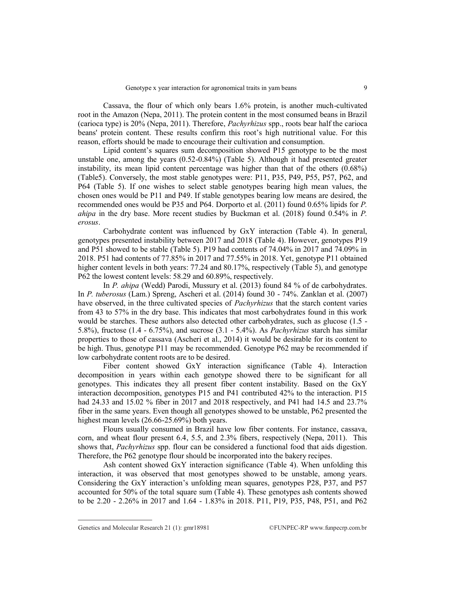Cassava, the flour of which only bears 1.6% protein, is another much-cultivated root in the Amazon (Nepa, 2011). The protein content in the most consumed beans in Brazil (carioca type) is 20% (Nepa, 2011). Therefore, *Pachyrhizus* spp., roots bear half the carioca beans' protein content. These results confirm this root's high nutritional value. For this reason, efforts should be made to encourage their cultivation and consumption.

Lipid content"s squares sum decomposition showed P15 genotype to be the most unstable one, among the years (0.52-0.84%) (Table 5). Although it had presented greater instability, its mean lipid content percentage was higher than that of the others (0.68%) (Table5). Conversely, the most stable genotypes were: P11, P35, P49, P55, P57, P62, and P64 (Table 5). If one wishes to select stable genotypes bearing high mean values, the chosen ones would be P11 and P49. If stable genotypes bearing low means are desired, the recommended ones would be P35 and P64. Dorporto et al. (2011) found 0.65% lipids for *P. ahipa* in the dry base. More recent studies by Buckman et al. (2018) found 0.54% in *P. erosus*.

Carbohydrate content was influenced by GxY interaction (Table 4). In general, genotypes presented instability between 2017 and 2018 (Table 4). However, genotypes P19 and P51 showed to be stable (Table 5). P19 had contents of 74.04% in 2017 and 74.09% in 2018. P51 had contents of 77.85% in 2017 and 77.55% in 2018. Yet, genotype P11 obtained higher content levels in both years: 77.24 and 80.17%, respectively (Table 5), and genotype P62 the lowest content levels: 58.29 and 60.89%, respectively.

In *P. ahipa* (Wedd) Parodi, Mussury et al. (2013) found 84 % of de carbohydrates. In *P. tuberosus* (Lam.) Spreng, Ascheri et al. (2014) found 30 - 74%. Zanklan et al. (2007) have observed, in the three cultivated species of *Pachyrhizus* that the starch content varies from 43 to 57% in the dry base. This indicates that most carbohydrates found in this work would be starches. These authors also detected other carbohydrates, such as glucose (1.5 - 5.8%), fructose (1.4 - 6.75%), and sucrose (3.1 - 5.4%). As *Pachyrhizus* starch has similar properties to those of cassava (Ascheri et al., 2014) it would be desirable for its content to be high. Thus, genotype P11 may be recommended. Genotype P62 may be recommended if low carbohydrate content roots are to be desired.

Fiber content showed GxY interaction significance (Table 4). Interaction decomposition in years within each genotype showed there to be significant for all genotypes. This indicates they all present fiber content instability. Based on the GxY interaction decomposition, genotypes P15 and P41 contributed 42% to the interaction. P15 had 24.33 and 15.02 % fiber in 2017 and 2018 respectively, and P41 had 14.5 and 23.7% fiber in the same years. Even though all genotypes showed to be unstable, P62 presented the highest mean levels (26.66-25.69%) both years.

Flours usually consumed in Brazil have low fiber contents. For instance, cassava, corn, and wheat flour present 6.4, 5.5, and 2.3% fibers, respectively (Nepa, 2011). This shows that, *Pachyrhizus* spp. flour can be considered a functional food that aids digestion. Therefore, the P62 genotype flour should be incorporated into the bakery recipes.

Ash content showed GxY interaction significance (Table 4). When unfolding this interaction, it was observed that most genotypes showed to be unstable, among years. Considering the GxY interaction"s unfolding mean squares, genotypes P28, P37, and P57 accounted for 50% of the total square sum (Table 4). These genotypes ash contents showed to be 2.20 - 2.26% in 2017 and 1.64 - 1.83% in 2018. P11, P19, P35, P48, P51, and P62

Genetics and Molecular Research 21 (1):  $gmr18981$  ©FUNPEC-RP www.funpecrp.com.br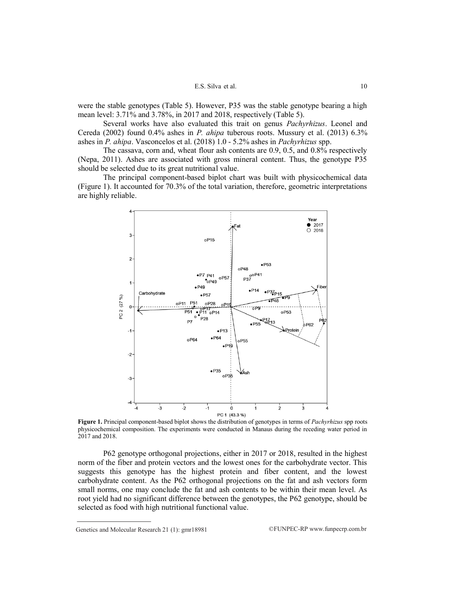were the stable genotypes (Table 5). However, P35 was the stable genotype bearing a high mean level: 3.71% and 3.78%, in 2017 and 2018, respectively (Table 5).

Several works have also evaluated this trait on genus *Pachyrhizus*. Leonel and Cereda (2002) found 0.4% ashes in *P. ahipa* tuberous roots. Mussury et al. (2013) 6.3% ashes in *P. ahipa*. Vasconcelos et al. (2018) 1.0 - 5.2% ashes in *Pachyrhizus* spp.

The cassava, corn and, wheat flour ash contents are 0.9, 0.5, and 0.8% respectively (Nepa, 2011). Ashes are associated with gross mineral content. Thus, the genotype P35 should be selected due to its great nutritional value.

The principal component-based biplot chart was built with physicochemical data (Figure 1). It accounted for 70.3% of the total variation, therefore, geometric interpretations are highly reliable.



**Figure 1.** Principal component-based biplot shows the distribution of genotypes in terms of *Pachyrhizus* spp roots physicochemical composition. The experiments were conducted in Manaus during the receding water period in 2017 and 2018.

P62 genotype orthogonal projections, either in 2017 or 2018, resulted in the highest norm of the fiber and protein vectors and the lowest ones for the carbohydrate vector. This suggests this genotype has the highest protein and fiber content, and the lowest carbohydrate content. As the P62 orthogonal projections on the fat and ash vectors form small norms, one may conclude the fat and ash contents to be within their mean level. As root yield had no significant difference between the genotypes, the P62 genotype, should be selected as food with high nutritional functional value.

Genetics and Molecular Research 21 (1):  $gmr18981$  ©FUNPEC-RP www.funpecrp.com.br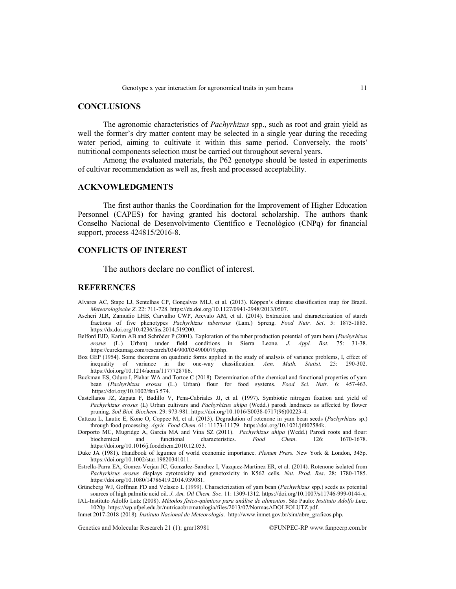## **CONCLUSIONS**

The agronomic characteristics of *Pachyrhizus* spp., such as root and grain yield as well the former's dry matter content may be selected in a single year during the receding water period, aiming to cultivate it within this same period. Conversely, the roots' nutritional components selection must be carried out throughout several years.

Among the evaluated materials, the P62 genotype should be tested in experiments of cultivar recommendation as well as, fresh and processed acceptability.

## **ACKNOWLEDGMENTS**

The first author thanks the Coordination for the Improvement of Higher Education Personnel (CAPES) for having granted his doctoral scholarship. The authors thank Conselho Nacional de Desenvolvimento Científico e Tecnológico (CNPq) for financial support, process 424815/2016-8.

# **CONFLICTS OF INTEREST**

The authors declare no conflict of interest.

# **REFERENCES**

- Alvares AC, Stape LJ, Sentelhas CP, Gonçalves MLJ, et al. (2013). Köppen"s climate classification map for Brazil. *Meteorologische Z*. 22: 711-728[. https://dx.doi.org/10.1127/0941-2948/2013/0507.](https://dx.doi.org/10.1127/0941-2948/2013/0507)
- Ascheri JLR, Zamudio LHB, Carvalho CWP, Arevalo AM, et al. (2014). Extraction and characterization of starch fractions of five phenotypes *Pachyrhizus tuberosus* (Lam.) Spreng. *Food Nutr. Sci*. 5: 1875-1885. [https://dx.doi.org/10.4236/fns.2014.519200.](https://dx.doi.org/10.4236/fns.2014.519200)
- Belford EJD, Karim AB and Schröder P (2001). Exploration of the tuber production potential of yam bean (*Pachyrhizus erosus* (L.) Urban) under field conditions in Sierra Leone. *J. Appl. Bot.* 75: 31-38. [https://eurekamag.com/research/034/900/034900079.php.](https://eurekamag.com/research/034/900/034900079.php)
- Box GEP (1954). Some theorems on quadratic forms applied in the study of analysis of variance problems, I, effect of inequality of variance in the one-way classification. *Ann. Math. Statist.* 25: 290-302. [https://doi.org/10.1214/aoms/1177728786.](https://doi.org/10.1214/aoms/1177728786)
- Buckman ES, Oduro I, Plahar WA and Tortoe C (2018). Determination of the chemical and functional properties of yam bean (*Pachyrhizus erosus* (L.) Urban) flour for food systems. *Food Sci. Nutr.* 6: 457-463. [https://doi.org/10.1002/fsn3.574.](https://doi.org/10.1002/fsn3.574)
- Castellanos JZ, Zapata F, Badillo V, Pena-Cabriales JJ, et al. (1997). Symbiotic nitrogen fixation and yield of *Pachyrhizus erosus* (L) Urban cultivars and *Pachyrhizus ahipa* (Wedd.) parodi landraces as affected by flower pruning. *Soil Biol. Biochem*. 29: 973-981. [https://doi.org/10.1016/S0038-0717\(96\)00223-4.](https://doi.org/10.1016/S0038-0717(96)00223-4)
- Catteau L, Lautie E, Kone O, Coppee M, et al. (2013). Degradation of rotenone in yam bean seeds (*Pachyrhizus* sp.) through food processing. *Agric. Food Chem*. 61: 11173-11179. [https://doi.org/10.1021/jf402584k.](https://doi.org/10.1021/jf402584k)
- Dorporto MC, Mugridge A, Garcia MA and Vina SZ (2011). *Pachyrhizus ahipa* (Wedd.) Parodi roots and flour: biochemical and functional characteristics. *Food Chem*. 126: 1670-1678. [https://doi.org/10.1016/j.foodchem.2010.12.053.](https://doi.org/10.1016/j.foodchem.2010.12.053)
- Duke JA (1981). Handbook of legumes of world economic importance. *Plenum Press.* New York & London, 345p. [https://doi.org/10.1002/star.19820341011.](https://doi.org/10.1002/star.19820341011)
- Estrella-Parra EA, Gomez-Verjan JC, Gonzalez-Sanchez I, Vazquez-Martinez ER, et al. (2014). Rotenone isolated from *Pachyrhizus erosus* displays cytotoxicity and genotoxicity in K562 cells. *Nat. Prod. Res*. 28: 1780-1785. [https://doi.org/10.1080/14786419.2014.939081.](https://doi.org/10.1080/14786419.2014.939081)
- Grüneberg WJ, Goffman FD and Velasco L (1999). Characterization of yam bean (*Pachyrhizus* spp.) seeds as potential sources of high palmitic acid oil. *J. Am. Oil Chem. Soc*. 11: 1309-1312. [https://doi.org/10.1007/s11746-999-0144-x.](https://doi.org/10.1007/s11746-999-0144-x) IAL-Instituto Adolfo Lutz (2008). *Métodos físico-químicos para análise de alimentos*. São Paulo: *Instituto Adolfo Lutz*.
- 1020p[. https://wp.ufpel.edu.br/nutricaobromatologia/files/2013/07/NormasADOLFOLUTZ.pdf.](https://wp.ufpel.edu.br/nutricaobromatologia/files/2013/07/NormasADOLFOLUTZ.pdf)

Inmet 2017-2018 (2018). *Instituto Nacional de Meteorologia.* [http://www.inmet.gov.br/sim/abre\\_graficos.php.](http://www.inmet.gov.br/sim/abre_graficos.php)

Genetics and Molecular Research 21 (1): gmr18981 ©FUNPEC-RP www.funpecrp.com.br